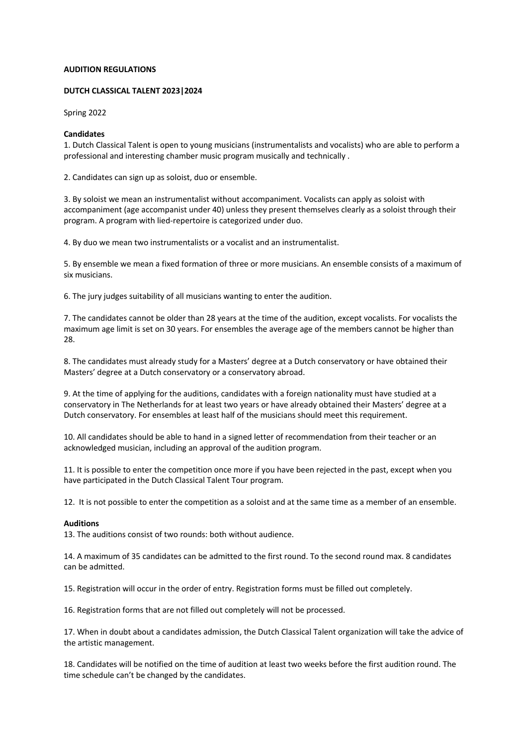# **AUDITION REGULATIONS**

# **DUTCH CLASSICAL TALENT 2023|2024**

Spring 2022

# **Candidates**

1. Dutch Classical Talent is open to young musicians (instrumentalists and vocalists) who are able to perform a professional and interesting chamber music program musically and technically .

2. Candidates can sign up as soloist, duo or ensemble.

3. By soloist we mean an instrumentalist without accompaniment. Vocalists can apply as soloist with accompaniment (age accompanist under 40) unless they present themselves clearly as a soloist through their program. A program with lied-repertoire is categorized under duo.

4. By duo we mean two instrumentalists or a vocalist and an instrumentalist.

5. By ensemble we mean a fixed formation of three or more musicians. An ensemble consists of a maximum of six musicians.

6. The jury judges suitability of all musicians wanting to enter the audition.

7. The candidates cannot be older than 28 years at the time of the audition, except vocalists. For vocalists the maximum age limit is set on 30 years. For ensembles the average age of the members cannot be higher than 28.

8. The candidates must already study for a Masters' degree at a Dutch conservatory or have obtained their Masters' degree at a Dutch conservatory or a conservatory abroad.

9. At the time of applying for the auditions, candidates with a foreign nationality must have studied at a conservatory in The Netherlands for at least two years or have already obtained their Masters' degree at a Dutch conservatory. For ensembles at least half of the musicians should meet this requirement.

10. All candidates should be able to hand in a signed letter of recommendation from their teacher or an acknowledged musician, including an approval of the audition program.

11. It is possible to enter the competition once more if you have been rejected in the past, except when you have participated in the Dutch Classical Talent Tour program.

12. It is not possible to enter the competition as a soloist and at the same time as a member of an ensemble.

### **Auditions**

13. The auditions consist of two rounds: both without audience.

14. A maximum of 35 candidates can be admitted to the first round. To the second round max. 8 candidates can be admitted.

15. Registration will occur in the order of entry. Registration forms must be filled out completely.

16. Registration forms that are not filled out completely will not be processed.

17. When in doubt about a candidates admission, the Dutch Classical Talent organization will take the advice of the artistic management.

18. Candidates will be notified on the time of audition at least two weeks before the first audition round. The time schedule can't be changed by the candidates.